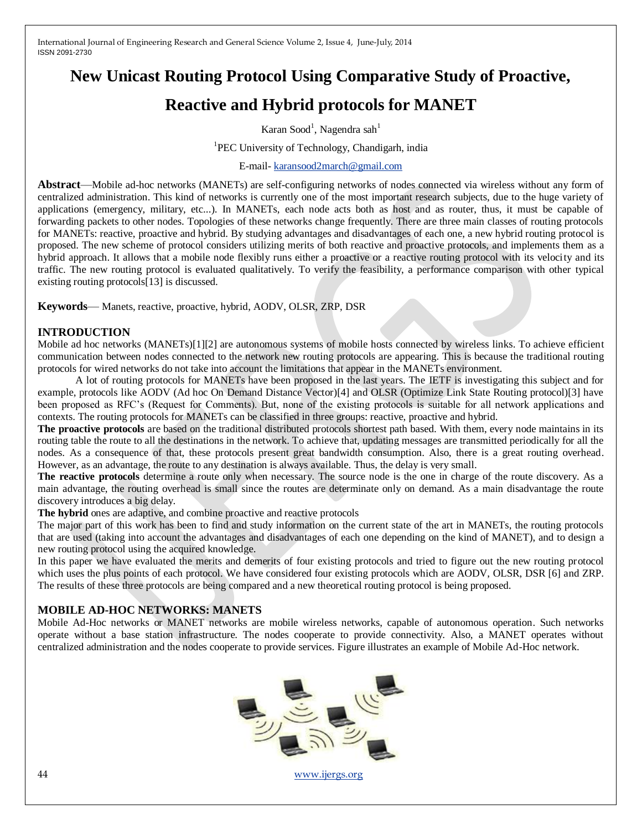# **New Unicast Routing Protocol Using Comparative Study of Proactive,**

# **Reactive and Hybrid protocols for MANET**

Karan Sood<sup>1</sup>, Nagendra sah<sup>1</sup>

<sup>1</sup>PEC University of Technology, Chandigarh, india

#### E-mail- [karansood2march@gmail.com](mailto:karansood2march@gmail.com)

**Abstract**—Mobile ad-hoc networks (MANETs) are self-configuring networks of nodes connected via wireless without any form of centralized administration. This kind of networks is currently one of the most important research subjects, due to the huge variety of applications (emergency, military, etc...). In MANETs, each node acts both as host and as router, thus, it must be capable of forwarding packets to other nodes. Topologies of these networks change frequently. There are three main classes of routing protocols for MANETs: reactive, proactive and hybrid. By studying advantages and disadvantages of each one, a new hybrid routing protocol is proposed. The new scheme of protocol considers utilizing merits of both reactive and proactive protocols, and implements them as a hybrid approach. It allows that a mobile node flexibly runs either a proactive or a reactive routing protocol with its velocity and its traffic. The new routing protocol is evaluated qualitatively. To verify the feasibility, a performance comparison with other typical existing routing protocols[13] is discussed.

**Keywords**— Manets, reactive, proactive, hybrid, AODV, OLSR, ZRP, DSR

## **INTRODUCTION**

Mobile ad hoc networks (MANETs)[1][2] are autonomous systems of mobile hosts connected by wireless links. To achieve efficient communication between nodes connected to the network new routing protocols are appearing. This is because the traditional routing protocols for wired networks do not take into account the limitations that appear in the MANETs environment.

A lot of routing protocols for MANETs have been proposed in the last years. The IETF is investigating this subject and for example, protocols like AODV (Ad hoc On Demand Distance Vector)[4] and OLSR (Optimize Link State Routing protocol)[3] have been proposed as RFC's (Request for Comments). But, none of the existing protocols is suitable for all network applications and contexts. The routing protocols for MANETs can be classified in three groups: reactive, proactive and hybrid.

**The proactive protocols** are based on the traditional distributed protocols shortest path based. With them, every node maintains in its routing table the route to all the destinations in the network. To achieve that, updating messages are transmitted periodically for all the nodes. As a consequence of that, these protocols present great bandwidth consumption. Also, there is a great routing overhead. However, as an advantage, the route to any destination is always available. Thus, the delay is very small.

**The reactive protocols** determine a route only when necessary. The source node is the one in charge of the route discovery. As a main advantage, the routing overhead is small since the routes are determinate only on demand. As a main disadvantage the route discovery introduces a big delay.

**The hybrid** ones are adaptive, and combine proactive and reactive protocols

The major part of this work has been to find and study information on the current state of the art in MANETs, the routing protocols that are used (taking into account the advantages and disadvantages of each one depending on the kind of MANET), and to design a new routing protocol using the acquired knowledge.

In this paper we have evaluated the merits and demerits of four existing protocols and tried to figure out the new routing protocol which uses the plus points of each protocol. We have considered four existing protocols which are AODV, OLSR, DSR [6] and ZRP. The results of these three protocols are being compared and a new theoretical routing protocol is being proposed.

## **MOBILE AD-HOC NETWORKS: MANETS**

Mobile Ad-Hoc networks or MANET networks are mobile wireless networks, capable of autonomous operation. Such networks operate without a base station infrastructure. The nodes cooperate to provide connectivity. Also, a MANET operates without centralized administration and the nodes cooperate to provide services. Figure illustrates an example of Mobile Ad-Hoc network.

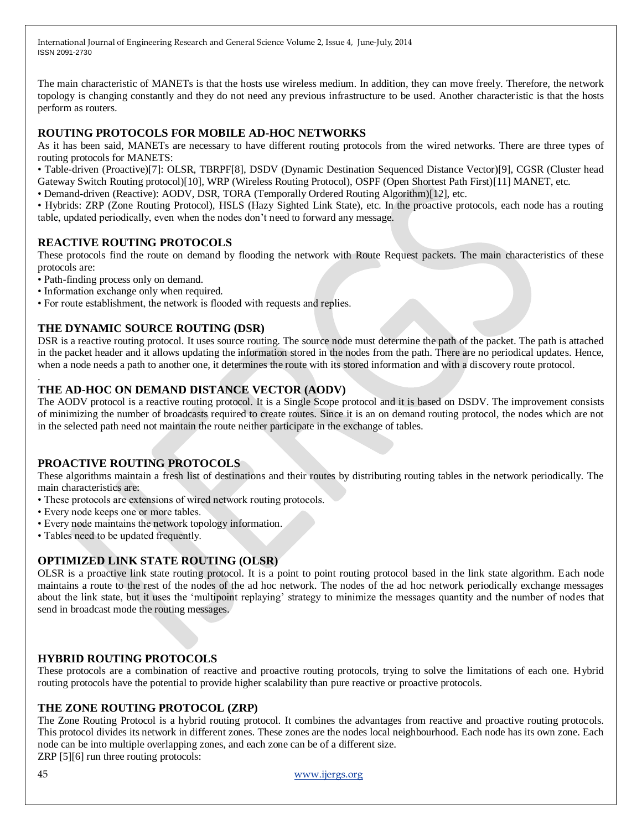The main characteristic of MANETs is that the hosts use wireless medium. In addition, they can move freely. Therefore, the network topology is changing constantly and they do not need any previous infrastructure to be used. Another characteristic is that the hosts perform as routers.

## **ROUTING PROTOCOLS FOR MOBILE AD-HOC NETWORKS**

As it has been said, MANETs are necessary to have different routing protocols from the wired networks. There are three types of routing protocols for MANETS:

• Table-driven (Proactive)[7]: OLSR, TBRPF[8], DSDV (Dynamic Destination Sequenced Distance Vector)[9], CGSR (Cluster head Gateway Switch Routing protocol)[10], WRP (Wireless Routing Protocol), OSPF (Open Shortest Path First)[11] MANET, etc.

• Demand-driven (Reactive): AODV, DSR, TORA (Temporally Ordered Routing Algorithm)[12], etc.

• Hybrids: ZRP (Zone Routing Protocol), HSLS (Hazy Sighted Link State), etc. In the proactive protocols, each node has a routing table, updated periodically, even when the nodes don't need to forward any message.

## **REACTIVE ROUTING PROTOCOLS**

These protocols find the route on demand by flooding the network with Route Request packets. The main characteristics of these protocols are:

• Path-finding process only on demand.

• Information exchange only when required.

• For route establishment, the network is flooded with requests and replies.

## **THE DYNAMIC SOURCE ROUTING (DSR)**

DSR is a reactive routing protocol. It uses source routing. The source node must determine the path of the packet. The path is attached in the packet header and it allows updating the information stored in the nodes from the path. There are no periodical updates. Hence, when a node needs a path to another one, it determines the route with its stored information and with a discovery route protocol.

## **THE AD-HOC ON DEMAND DISTANCE VECTOR (AODV)**

The AODV protocol is a reactive routing protocol. It is a Single Scope protocol and it is based on DSDV. The improvement consists of minimizing the number of broadcasts required to create routes. Since it is an on demand routing protocol, the nodes which are not in the selected path need not maintain the route neither participate in the exchange of tables.

## **PROACTIVE ROUTING PROTOCOLS**

These algorithms maintain a fresh list of destinations and their routes by distributing routing tables in the network periodically. The main characteristics are:

- These protocols are extensions of wired network routing protocols.
- Every node keeps one or more tables.
- Every node maintains the network topology information.
- Tables need to be updated frequently.

## **OPTIMIZED LINK STATE ROUTING (OLSR)**

OLSR is a proactive link state routing protocol. It is a point to point routing protocol based in the link state algorithm. Each node maintains a route to the rest of the nodes of the ad hoc network. The nodes of the ad hoc network periodically exchange messages about the link state, but it uses the 'multipoint replaying' strategy to minimize the messages quantity and the number of nodes that send in broadcast mode the routing messages.

## **HYBRID ROUTING PROTOCOLS**

These protocols are a combination of reactive and proactive routing protocols, trying to solve the limitations of each one. Hybrid routing protocols have the potential to provide higher scalability than pure reactive or proactive protocols.

## **THE ZONE ROUTING PROTOCOL (ZRP)**

The Zone Routing Protocol is a hybrid routing protocol. It combines the advantages from reactive and proactive routing protocols. This protocol divides its network in different zones. These zones are the nodes local neighbourhood. Each node has its own zone. Each node can be into multiple overlapping zones, and each zone can be of a different size.

ZRP [5][6] run three routing protocols:

45 [www.ijergs.org](http://www.ijergs.org/)

.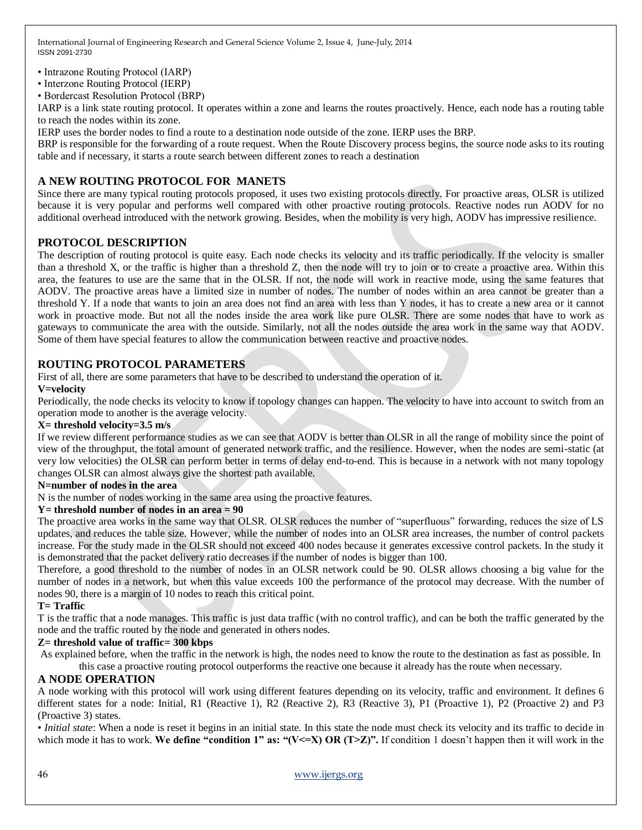- Intrazone Routing Protocol (IARP)
- Interzone Routing Protocol (IERP)
- Bordercast Resolution Protocol (BRP)

IARP is a link state routing protocol. It operates within a zone and learns the routes proactively. Hence, each node has a routing table to reach the nodes within its zone.

IERP uses the border nodes to find a route to a destination node outside of the zone. IERP uses the BRP.

BRP is responsible for the forwarding of a route request. When the Route Discovery process begins, the source node asks to its routing table and if necessary, it starts a route search between different zones to reach a destination

# **A NEW ROUTING PROTOCOL FOR MANETS**

Since there are many typical routing protocols proposed, it uses two existing protocols directly. For proactive areas, OLSR is utilized because it is very popular and performs well compared with other proactive routing protocols. Reactive nodes run AODV for no additional overhead introduced with the network growing. Besides, when the mobility is very high, AODV has impressive resilience.

## **PROTOCOL DESCRIPTION**

The description of routing protocol is quite easy. Each node checks its velocity and its traffic periodically. If the velocity is smaller than a threshold X, or the traffic is higher than a threshold Z, then the node will try to join or to create a proactive area. Within this area, the features to use are the same that in the OLSR. If not, the node will work in reactive mode, using the same features that AODV. The proactive areas have a limited size in number of nodes. The number of nodes within an area cannot be greater than a threshold Y. If a node that wants to join an area does not find an area with less than Y nodes, it has to create a new area or it cannot work in proactive mode. But not all the nodes inside the area work like pure OLSR. There are some nodes that have to work as gateways to communicate the area with the outside. Similarly, not all the nodes outside the area work in the same way that AODV. Some of them have special features to allow the communication between reactive and proactive nodes.

## **ROUTING PROTOCOL PARAMETERS**

First of all, there are some parameters that have to be described to understand the operation of it.

#### **V=velocity**

Periodically, the node checks its velocity to know if topology changes can happen. The velocity to have into account to switch from an operation mode to another is the average velocity.

#### **X= threshold velocity=3.5 m/s**

If we review different performance studies as we can see that AODV is better than OLSR in all the range of mobility since the point of view of the throughput, the total amount of generated network traffic, and the resilience. However, when the nodes are semi-static (at very low velocities) the OLSR can perform better in terms of delay end-to-end. This is because in a network with not many topology changes OLSR can almost always give the shortest path available.

#### **N=number of nodes in the area**

N is the number of nodes working in the same area using the proactive features.

#### **Y= threshold number of nodes in an area = 90**

The proactive area works in the same way that OLSR. OLSR reduces the number of "superfluous" forwarding, reduces the size of LS updates, and reduces the table size. However, while the number of nodes into an OLSR area increases, the number of control packets increase. For the study made in the OLSR should not exceed 400 nodes because it generates excessive control packets. In the study it is demonstrated that the packet delivery ratio decreases if the number of nodes is bigger than 100.

Therefore, a good threshold to the number of nodes in an OLSR network could be 90. OLSR allows choosing a big value for the number of nodes in a network, but when this value exceeds 100 the performance of the protocol may decrease. With the number of nodes 90, there is a margin of 10 nodes to reach this critical point.

#### **T= Traffic**

T is the traffic that a node manages. This traffic is just data traffic (with no control traffic), and can be both the traffic generated by the node and the traffic routed by the node and generated in others nodes.

#### **Z= threshold value of traffic= 300 kbps**

As explained before, when the traffic in the network is high, the nodes need to know the route to the destination as fast as possible. In this case a proactive routing protocol outperforms the reactive one because it already has the route when necessary.

## **A NODE OPERATION**

A node working with this protocol will work using different features depending on its velocity, traffic and environment. It defines 6 different states for a node: Initial, R1 (Reactive 1), R2 (Reactive 2), R3 (Reactive 3), P1 (Proactive 1), P2 (Proactive 2) and P3 (Proactive 3) states.

• *Initial state*: When a node is reset it begins in an initial state. In this state the node must check its velocity and its traffic to decide in which mode it has to work. We define "condition 1" as: " $(V \le X)$  OR  $(T \ge Z)$ ". If condition 1 doesn't happen then it will work in the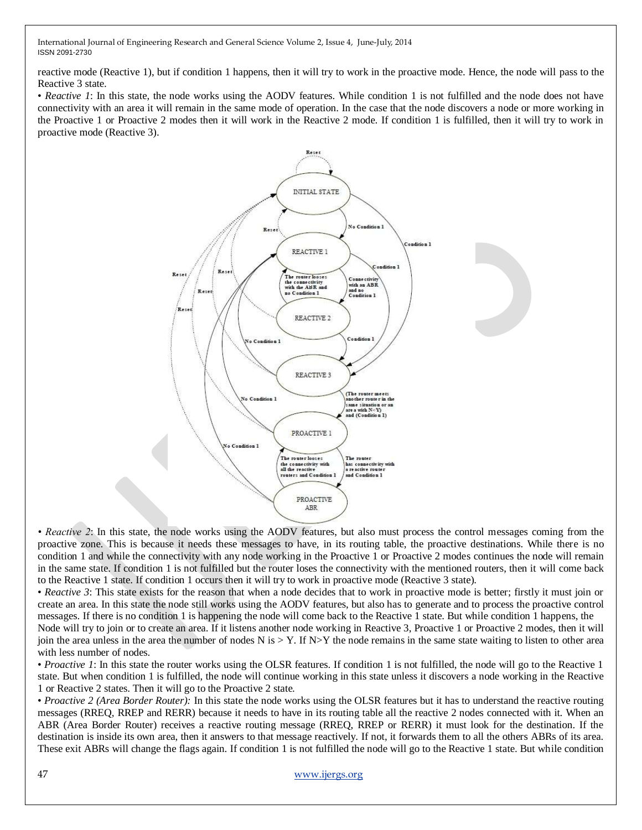reactive mode (Reactive 1), but if condition 1 happens, then it will try to work in the proactive mode. Hence, the node will pass to the Reactive 3 state.

• *Reactive 1*: In this state, the node works using the AODV features. While condition 1 is not fulfilled and the node does not have connectivity with an area it will remain in the same mode of operation. In the case that the node discovers a node or more working in the Proactive 1 or Proactive 2 modes then it will work in the Reactive 2 mode. If condition 1 is fulfilled, then it will try to work in proactive mode (Reactive 3).



*• Reactive 2*: In this state, the node works using the AODV features, but also must process the control messages coming from the proactive zone. This is because it needs these messages to have, in its routing table, the proactive destinations. While there is no condition 1 and while the connectivity with any node working in the Proactive 1 or Proactive 2 modes continues the node will remain in the same state. If condition 1 is not fulfilled but the router loses the connectivity with the mentioned routers, then it will come back to the Reactive 1 state. If condition 1 occurs then it will try to work in proactive mode (Reactive 3 state).

• *Reactive 3*: This state exists for the reason that when a node decides that to work in proactive mode is better; firstly it must join or create an area. In this state the node still works using the AODV features, but also has to generate and to process the proactive control messages. If there is no condition 1 is happening the node will come back to the Reactive 1 state. But while condition 1 happens, the

Node will try to join or to create an area. If it listens another node working in Reactive 3, Proactive 1 or Proactive 2 modes, then it will join the area unless in the area the number of nodes N is  $>$  Y. If N $>$ Y the node remains in the same state waiting to listen to other area with less number of nodes.

• *Proactive 1*: In this state the router works using the OLSR features. If condition 1 is not fulfilled, the node will go to the Reactive 1 state. But when condition 1 is fulfilled, the node will continue working in this state unless it discovers a node working in the Reactive 1 or Reactive 2 states. Then it will go to the Proactive 2 state.

• *Proactive 2 (Area Border Router):* In this state the node works using the OLSR features but it has to understand the reactive routing messages (RREQ, RREP and RERR) because it needs to have in its routing table all the reactive 2 nodes connected with it. When an ABR (Area Border Router) receives a reactive routing message (RREQ, RREP or RERR) it must look for the destination. If the destination is inside its own area, then it answers to that message reactively. If not, it forwards them to all the others ABRs of its area. These exit ABRs will change the flags again. If condition 1 is not fulfilled the node will go to the Reactive 1 state. But while condition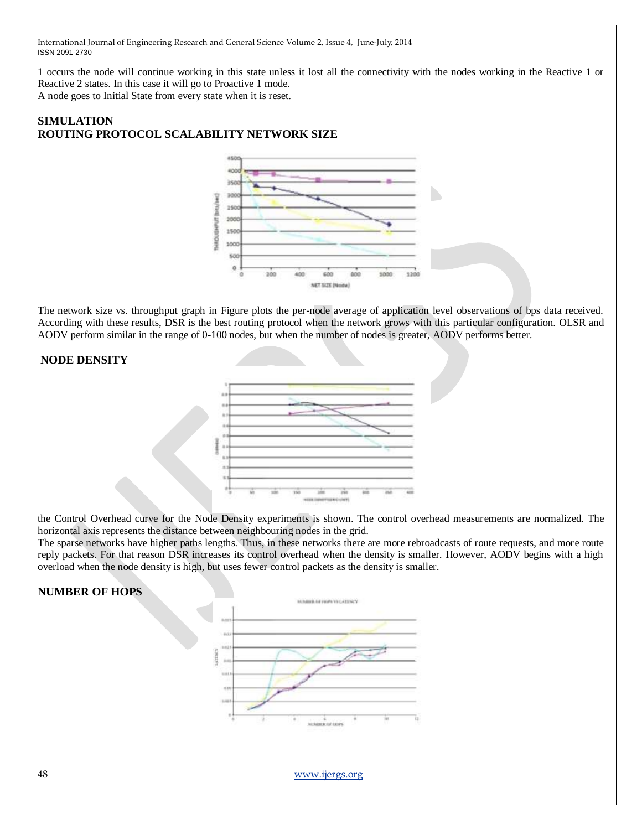1 occurs the node will continue working in this state unless it lost all the connectivity with the nodes working in the Reactive 1 or Reactive 2 states. In this case it will go to Proactive 1 mode. A node goes to Initial State from every state when it is reset.

# **SIMULATION ROUTING PROTOCOL SCALABILITY NETWORK SIZE**



The network size vs. throughput graph in Figure plots the per-node average of application level observations of bps data received. According with these results, DSR is the best routing protocol when the network grows with this particular configuration. OLSR and AODV perform similar in the range of 0-100 nodes, but when the number of nodes is greater, AODV performs better.



the Control Overhead curve for the Node Density experiments is shown. The control overhead measurements are normalized. The horizontal axis represents the distance between neighbouring nodes in the grid.

The sparse networks have higher paths lengths. Thus, in these networks there are more rebroadcasts of route requests, and more route reply packets. For that reason DSR increases its control overhead when the density is smaller. However, AODV begins with a high overload when the node density is high, but uses fewer control packets as the density is smaller.

# **NUMBER OF HOPS**



48 [www.ijergs.org](http://www.ijergs.org/)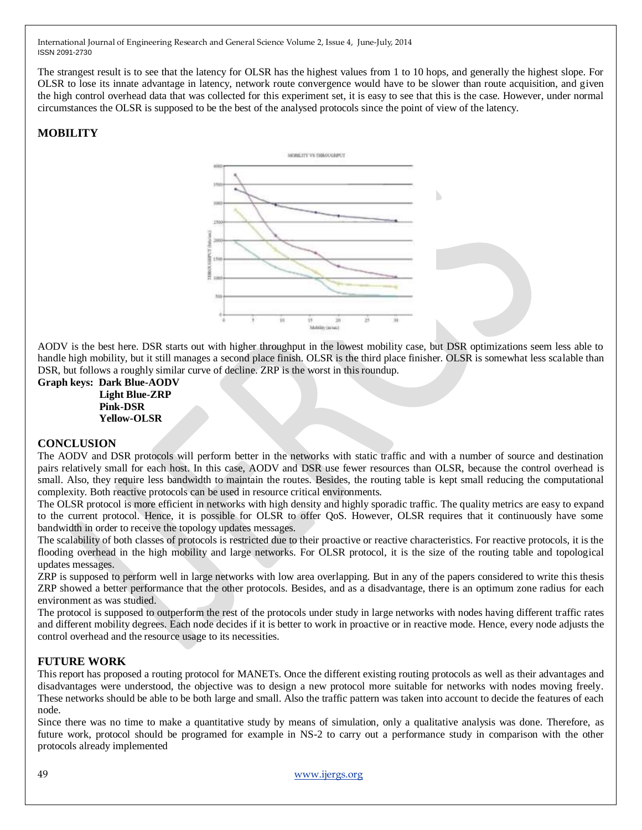The strangest result is to see that the latency for OLSR has the highest values from 1 to 10 hops, and generally the highest slope. For OLSR to lose its innate advantage in latency, network route convergence would have to be slower than route acquisition, and given the high control overhead data that was collected for this experiment set, it is easy to see that this is the case. However, under normal circumstances the OLSR is supposed to be the best of the analysed protocols since the point of view of the latency.

# **MOBILITY**



AODV is the best here. DSR starts out with higher throughput in the lowest mobility case, but DSR optimizations seem less able to handle high mobility, but it still manages a second place finish. OLSR is the third place finisher. OLSR is somewhat less scalable than DSR, but follows a roughly similar curve of decline. ZRP is the worst in this roundup.

**Graph keys: Dark Blue-AODV Light Blue-ZRP Pink-DSR Yellow-OLSR**

#### **CONCLUSION**

The AODV and DSR protocols will perform better in the networks with static traffic and with a number of source and destination pairs relatively small for each host. In this case, AODV and DSR use fewer resources than OLSR, because the control overhead is small. Also, they require less bandwidth to maintain the routes. Besides, the routing table is kept small reducing the computational complexity. Both reactive protocols can be used in resource critical environments.

The OLSR protocol is more efficient in networks with high density and highly sporadic traffic. The quality metrics are easy to expand to the current protocol. Hence, it is possible for OLSR to offer QoS. However, OLSR requires that it continuously have some bandwidth in order to receive the topology updates messages.

The scalability of both classes of protocols is restricted due to their proactive or reactive characteristics. For reactive protocols, it is the flooding overhead in the high mobility and large networks. For OLSR protocol, it is the size of the routing table and topological updates messages.

ZRP is supposed to perform well in large networks with low area overlapping. But in any of the papers considered to write this thesis ZRP showed a better performance that the other protocols. Besides, and as a disadvantage, there is an optimum zone radius for each environment as was studied.

The protocol is supposed to outperform the rest of the protocols under study in large networks with nodes having different traffic rates and different mobility degrees. Each node decides if it is better to work in proactive or in reactive mode. Hence, every node adjusts the control overhead and the resource usage to its necessities.

## **FUTURE WORK**

This report has proposed a routing protocol for MANETs. Once the different existing routing protocols as well as their advantages and disadvantages were understood, the objective was to design a new protocol more suitable for networks with nodes moving freely. These networks should be able to be both large and small. Also the traffic pattern was taken into account to decide the features of each node.

Since there was no time to make a quantitative study by means of simulation, only a qualitative analysis was done. Therefore, as future work, protocol should be programed for example in NS-2 to carry out a performance study in comparison with the other protocols already implemented